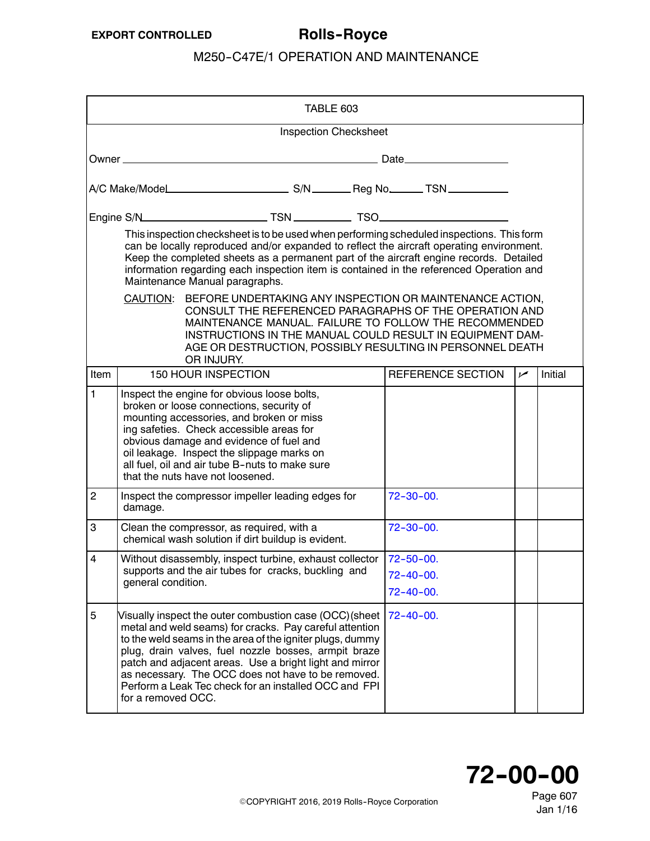<span id="page-0-0"></span>

| TABLE 603      |                                                                                                                                                                                                                                                                                                                                 |                                                                                                                                                                                                                                                                                                                                                                                                                   |                              |  |                                                                                                                                                                                                                                                                                                                                                                            |  |                |         |
|----------------|---------------------------------------------------------------------------------------------------------------------------------------------------------------------------------------------------------------------------------------------------------------------------------------------------------------------------------|-------------------------------------------------------------------------------------------------------------------------------------------------------------------------------------------------------------------------------------------------------------------------------------------------------------------------------------------------------------------------------------------------------------------|------------------------------|--|----------------------------------------------------------------------------------------------------------------------------------------------------------------------------------------------------------------------------------------------------------------------------------------------------------------------------------------------------------------------------|--|----------------|---------|
|                |                                                                                                                                                                                                                                                                                                                                 |                                                                                                                                                                                                                                                                                                                                                                                                                   | <b>Inspection Checksheet</b> |  |                                                                                                                                                                                                                                                                                                                                                                            |  |                |         |
|                |                                                                                                                                                                                                                                                                                                                                 |                                                                                                                                                                                                                                                                                                                                                                                                                   |                              |  |                                                                                                                                                                                                                                                                                                                                                                            |  |                |         |
|                |                                                                                                                                                                                                                                                                                                                                 |                                                                                                                                                                                                                                                                                                                                                                                                                   |                              |  |                                                                                                                                                                                                                                                                                                                                                                            |  |                |         |
|                |                                                                                                                                                                                                                                                                                                                                 |                                                                                                                                                                                                                                                                                                                                                                                                                   |                              |  |                                                                                                                                                                                                                                                                                                                                                                            |  |                |         |
|                |                                                                                                                                                                                                                                                                                                                                 | Maintenance Manual paragraphs.                                                                                                                                                                                                                                                                                                                                                                                    |                              |  | This inspection checksheet is to be used when performing scheduled inspections. This form<br>can be locally reproduced and/or expanded to reflect the aircraft operating environment.<br>Keep the completed sheets as a permanent part of the aircraft engine records. Detailed<br>information regarding each inspection item is contained in the referenced Operation and |  |                |         |
|                | BEFORE UNDERTAKING ANY INSPECTION OR MAINTENANCE ACTION,<br>CAUTION:<br>CONSULT THE REFERENCED PARAGRAPHS OF THE OPERATION AND<br>MAINTENANCE MANUAL. FAILURE TO FOLLOW THE RECOMMENDED<br>INSTRUCTIONS IN THE MANUAL COULD RESULT IN EQUIPMENT DAM-<br>AGE OR DESTRUCTION, POSSIBLY RESULTING IN PERSONNEL DEATH<br>OR INJURY. |                                                                                                                                                                                                                                                                                                                                                                                                                   |                              |  |                                                                                                                                                                                                                                                                                                                                                                            |  |                |         |
| Item           |                                                                                                                                                                                                                                                                                                                                 | 150 HOUR INSPECTION                                                                                                                                                                                                                                                                                                                                                                                               |                              |  | REFERENCE SECTION                                                                                                                                                                                                                                                                                                                                                          |  | $\overline{v}$ | Initial |
| $\mathbf{1}$   |                                                                                                                                                                                                                                                                                                                                 | Inspect the engine for obvious loose bolts,<br>broken or loose connections, security of<br>mounting accessories, and broken or miss<br>ing safeties. Check accessible areas for<br>obvious damage and evidence of fuel and<br>oil leakage. Inspect the slippage marks on<br>all fuel, oil and air tube B-nuts to make sure<br>that the nuts have not loosened.                                                    |                              |  |                                                                                                                                                                                                                                                                                                                                                                            |  |                |         |
| $\overline{c}$ | damage.                                                                                                                                                                                                                                                                                                                         | Inspect the compressor impeller leading edges for                                                                                                                                                                                                                                                                                                                                                                 |                              |  | $72 - 30 - 00.$                                                                                                                                                                                                                                                                                                                                                            |  |                |         |
| 3              |                                                                                                                                                                                                                                                                                                                                 | Clean the compressor, as required, with a<br>chemical wash solution if dirt buildup is evident.                                                                                                                                                                                                                                                                                                                   |                              |  | $72 - 30 - 00.$                                                                                                                                                                                                                                                                                                                                                            |  |                |         |
| $\overline{4}$ | general condition.                                                                                                                                                                                                                                                                                                              | Without disassembly, inspect turbine, exhaust collector   72-50-00.<br>supports and the air tubes for cracks, buckling and                                                                                                                                                                                                                                                                                        |                              |  | $72 - 40 - 00.$<br>$72 - 40 - 00.$                                                                                                                                                                                                                                                                                                                                         |  |                |         |
| 5              | for a removed OCC.                                                                                                                                                                                                                                                                                                              | Visually inspect the outer combustion case (OCC) (sheet<br>metal and weld seams) for cracks. Pay careful attention<br>to the weld seams in the area of the igniter plugs, dummy<br>plug, drain valves, fuel nozzle bosses, armpit braze<br>patch and adjacent areas. Use a bright light and mirror<br>as necessary. The OCC does not have to be removed.<br>Perform a Leak Tec check for an installed OCC and FPI |                              |  | $72 - 40 - 00$ .                                                                                                                                                                                                                                                                                                                                                           |  |                |         |

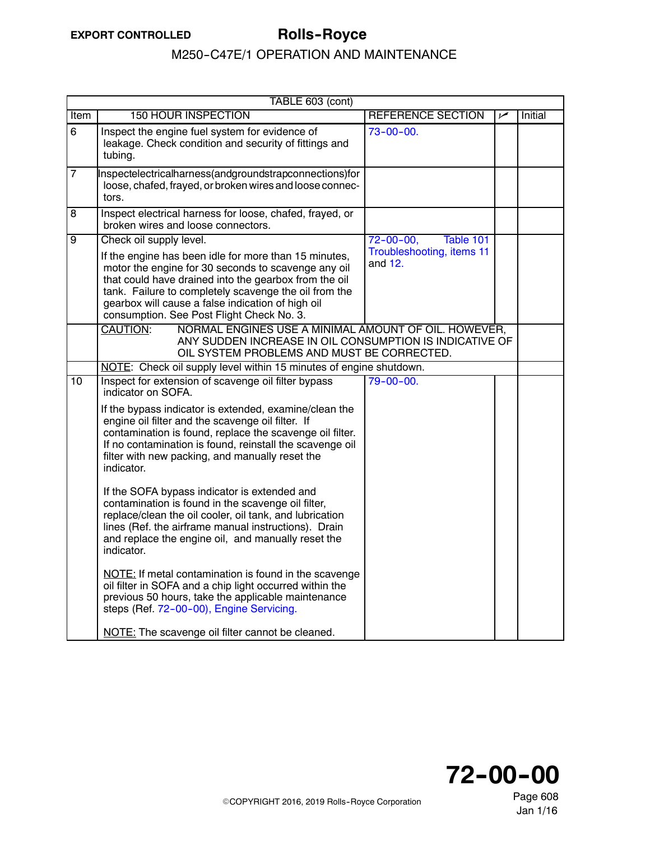|                | TABLE 603 (cont)                                                                                                                                                                                                                                                                                                                                            |                                                                         |     |         |  |  |
|----------------|-------------------------------------------------------------------------------------------------------------------------------------------------------------------------------------------------------------------------------------------------------------------------------------------------------------------------------------------------------------|-------------------------------------------------------------------------|-----|---------|--|--|
| Item           | <b>150 HOUR INSPECTION</b>                                                                                                                                                                                                                                                                                                                                  | <b>REFERENCE SECTION</b>                                                | مرا | Initial |  |  |
| 6              | Inspect the engine fuel system for evidence of<br>leakage. Check condition and security of fittings and<br>tubing.                                                                                                                                                                                                                                          | $73 - 00 - 00$ .                                                        |     |         |  |  |
| $\overline{7}$ | nspectelectricalharness(andgroundstrapconnections)for<br>loose, chafed, frayed, or broken wires and loose connec-<br>tors.                                                                                                                                                                                                                                  |                                                                         |     |         |  |  |
| 8              | Inspect electrical harness for loose, chafed, frayed, or<br>broken wires and loose connectors.                                                                                                                                                                                                                                                              |                                                                         |     |         |  |  |
| $\overline{9}$ | Check oil supply level.<br>If the engine has been idle for more than 15 minutes,<br>motor the engine for 30 seconds to scavenge any oil<br>that could have drained into the gearbox from the oil<br>tank. Failure to completely scavenge the oil from the<br>gearbox will cause a false indication of high oil<br>consumption. See Post Flight Check No. 3. | $72 - 00 - 00,$<br>Table 101<br>Troubleshooting, items 11<br>and $12$ . |     |         |  |  |
|                | CAUTION:<br>NORMAL ENGINES USE A MINIMAL AMOUNT OF OIL. HOWEVER,<br>ANY SUDDEN INCREASE IN OIL CONSUMPTION IS INDICATIVE OF<br>OIL SYSTEM PROBLEMS AND MUST BE CORRECTED.                                                                                                                                                                                   |                                                                         |     |         |  |  |
|                | NOTE: Check oil supply level within 15 minutes of engine shutdown.                                                                                                                                                                                                                                                                                          |                                                                         |     |         |  |  |
| 10             | Inspect for extension of scavenge oil filter bypass<br>indicator on SOFA.                                                                                                                                                                                                                                                                                   | $79 - 00 - 00.$                                                         |     |         |  |  |
|                | If the bypass indicator is extended, examine/clean the<br>engine oil filter and the scavenge oil filter. If<br>contamination is found, replace the scavenge oil filter.<br>If no contamination is found, reinstall the scavenge oil<br>filter with new packing, and manually reset the<br>indicator.                                                        |                                                                         |     |         |  |  |
|                | If the SOFA bypass indicator is extended and<br>contamination is found in the scavenge oil filter,<br>replace/clean the oil cooler, oil tank, and lubrication<br>lines (Ref. the airframe manual instructions). Drain<br>and replace the engine oil, and manually reset the<br>indicator.                                                                   |                                                                         |     |         |  |  |
|                | NOTE: If metal contamination is found in the scavenge<br>oil filter in SOFA and a chip light occurred within the<br>previous 50 hours, take the applicable maintenance<br>steps (Ref. 72-00-00), Engine Servicing.                                                                                                                                          |                                                                         |     |         |  |  |
|                | NOTE: The scavenge oil filter cannot be cleaned.                                                                                                                                                                                                                                                                                                            |                                                                         |     |         |  |  |

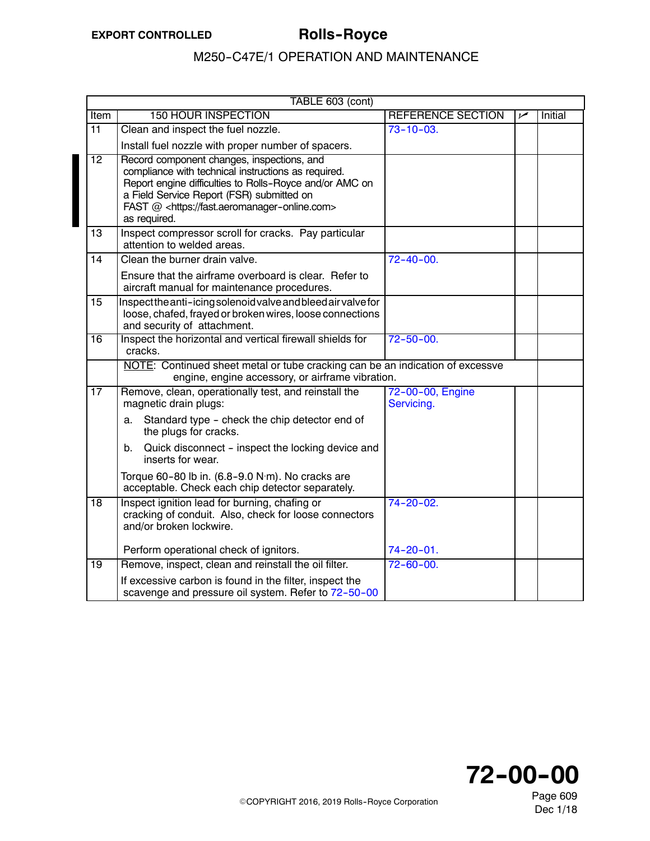|                 | TABLE 603 (cont)                                                                                                                                                                                                                                                                      |                                |     |                |  |  |
|-----------------|---------------------------------------------------------------------------------------------------------------------------------------------------------------------------------------------------------------------------------------------------------------------------------------|--------------------------------|-----|----------------|--|--|
| <b>Item</b>     | <b>150 HOUR INSPECTION</b>                                                                                                                                                                                                                                                            | <b>REFERENCE SECTION</b>       | مرا | <b>Initial</b> |  |  |
| $\overline{11}$ | Clean and inspect the fuel nozzle.                                                                                                                                                                                                                                                    | $73 - 10 - 03$ .               |     |                |  |  |
|                 | Install fuel nozzle with proper number of spacers.                                                                                                                                                                                                                                    |                                |     |                |  |  |
| $\overline{12}$ | Record component changes, inspections, and<br>compliance with technical instructions as required.<br>Report engine difficulties to Rolls-Royce and/or AMC on<br>a Field Service Report (FSR) submitted on<br>FAST @ <https: fast.aeromanager-online.com=""><br/>as required.</https:> |                                |     |                |  |  |
| 13              | Inspect compressor scroll for cracks. Pay particular<br>attention to welded areas.                                                                                                                                                                                                    |                                |     |                |  |  |
| 14              | Clean the burner drain valve.                                                                                                                                                                                                                                                         | $72 - 40 - 00.$                |     |                |  |  |
|                 | Ensure that the airframe overboard is clear. Refer to<br>aircraft manual for maintenance procedures.                                                                                                                                                                                  |                                |     |                |  |  |
| 15              | Inspectthe anti-icing solenoid valve and bleed air valve for<br>loose, chafed, frayed or broken wires, loose connections<br>and security of attachment.                                                                                                                               |                                |     |                |  |  |
| 16              | Inspect the horizontal and vertical firewall shields for<br>cracks.                                                                                                                                                                                                                   | $72 - 50 - 00.$                |     |                |  |  |
|                 | NOTE: Continued sheet metal or tube cracking can be an indication of excessve<br>engine, engine accessory, or airframe vibration.                                                                                                                                                     |                                |     |                |  |  |
| 17              | Remove, clean, operationally test, and reinstall the<br>magnetic drain plugs:                                                                                                                                                                                                         | 72-00-00, Engine<br>Servicing. |     |                |  |  |
|                 | Standard type - check the chip detector end of<br>a.<br>the plugs for cracks.                                                                                                                                                                                                         |                                |     |                |  |  |
|                 | Quick disconnect - inspect the locking device and<br>b.<br>inserts for wear.                                                                                                                                                                                                          |                                |     |                |  |  |
|                 | Torque 60-80 lb in. (6.8-9.0 N·m). No cracks are<br>acceptable. Check each chip detector separately.                                                                                                                                                                                  |                                |     |                |  |  |
| $\overline{18}$ | Inspect ignition lead for burning, chafing or<br>cracking of conduit. Also, check for loose connectors<br>and/or broken lockwire.                                                                                                                                                     | $74 - 20 - 02$ .               |     |                |  |  |
|                 | Perform operational check of ignitors.                                                                                                                                                                                                                                                | $74 - 20 - 01$ .               |     |                |  |  |
| $\overline{19}$ | Remove, inspect, clean and reinstall the oil filter.                                                                                                                                                                                                                                  | $72 - 60 - 00.$                |     |                |  |  |
|                 | If excessive carbon is found in the filter, inspect the<br>scavenge and pressure oil system. Refer to 72-50-00                                                                                                                                                                        |                                |     |                |  |  |



Page 609 Dec 1/18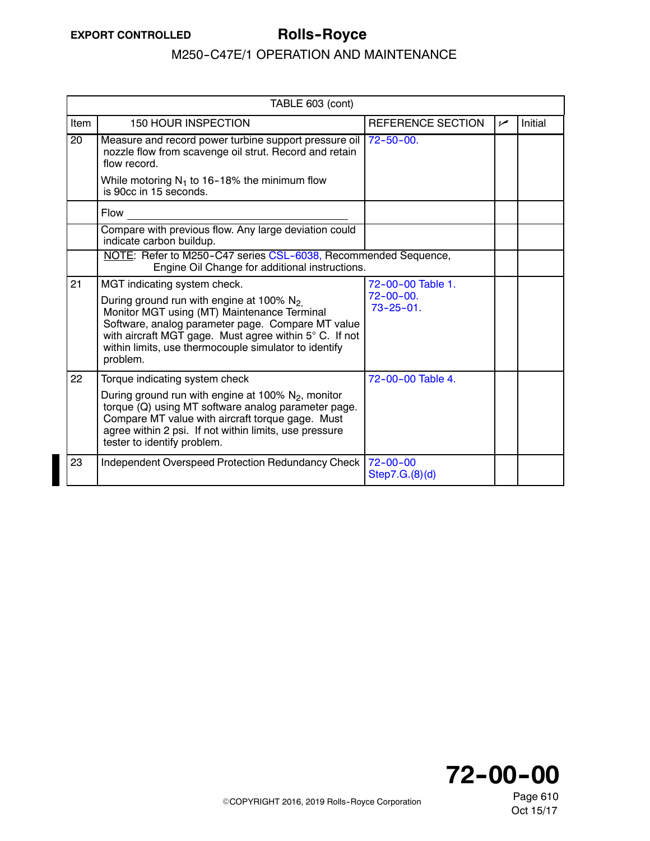|                 | TABLE 603 (cont)                                                                                                                                                                                                                                                               |                                     |      |         |  |  |
|-----------------|--------------------------------------------------------------------------------------------------------------------------------------------------------------------------------------------------------------------------------------------------------------------------------|-------------------------------------|------|---------|--|--|
| Item            | 150 HOUR INSPECTION                                                                                                                                                                                                                                                            | <b>REFERENCE SECTION</b>            | ممرا | Initial |  |  |
| $\overline{20}$ | Measure and record power turbine support pressure oil<br>nozzle flow from scavenge oil strut. Record and retain<br>flow record.                                                                                                                                                | $72 - 50 - 00$ .                    |      |         |  |  |
|                 | While motoring $N_1$ to 16-18% the minimum flow<br>is 90cc in 15 seconds.                                                                                                                                                                                                      |                                     |      |         |  |  |
|                 | <b>Flow</b>                                                                                                                                                                                                                                                                    |                                     |      |         |  |  |
|                 | Compare with previous flow. Any large deviation could<br>indicate carbon buildup.                                                                                                                                                                                              |                                     |      |         |  |  |
|                 | NOTE: Refer to M250-C47 series CSL-6038, Recommended Sequence,<br>Engine Oil Change for additional instructions.                                                                                                                                                               |                                     |      |         |  |  |
| 21              | MGT indicating system check.                                                                                                                                                                                                                                                   | 72-00-00 Table 1.                   |      |         |  |  |
|                 | During ground run with engine at 100% $N_2$<br>Monitor MGT using (MT) Maintenance Terminal<br>Software, analog parameter page. Compare MT value<br>with aircraft MGT gage. Must agree within 5° C. If not<br>within limits, use thermocouple simulator to identify<br>problem. | $72 - 00 - 00.$<br>$73 - 25 - 01$ . |      |         |  |  |
| 22              | Torque indicating system check                                                                                                                                                                                                                                                 | 72-00-00 Table 4.                   |      |         |  |  |
|                 | During ground run with engine at 100% $N_2$ , monitor<br>torque (Q) using MT software analog parameter page.<br>Compare MT value with aircraft torque gage. Must<br>agree within 2 psi. If not within limits, use pressure<br>tester to identify problem.                      |                                     |      |         |  |  |
| 23              | Independent Overspeed Protection Redundancy Check                                                                                                                                                                                                                              | $72 - 00 - 00$<br>Step 7.G.(8)(d)   |      |         |  |  |

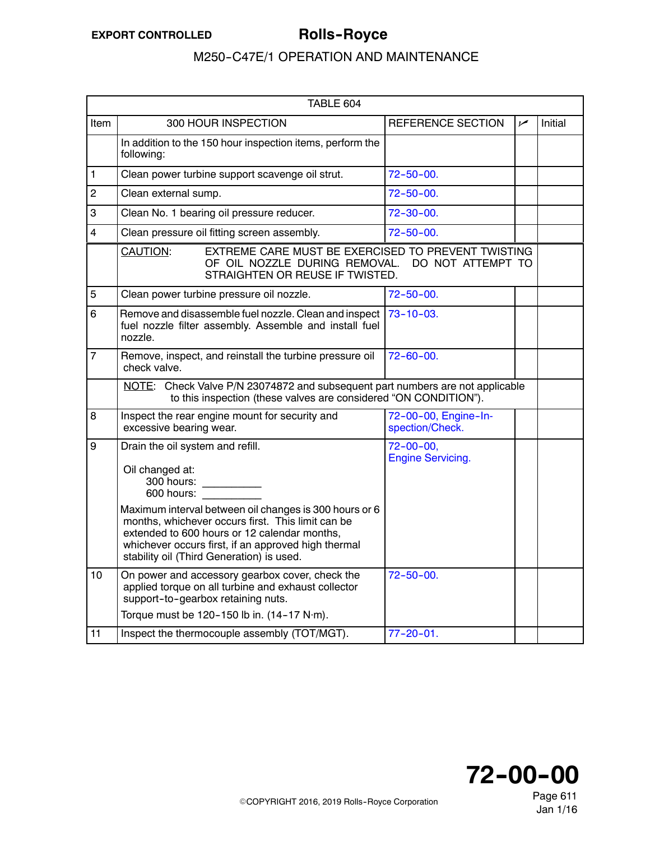<span id="page-4-0"></span>

|                | TABLE 604                                                                                                                                                                                                                            |                                             |     |         |
|----------------|--------------------------------------------------------------------------------------------------------------------------------------------------------------------------------------------------------------------------------------|---------------------------------------------|-----|---------|
| Item           | 300 HOUR INSPECTION                                                                                                                                                                                                                  | <b>REFERENCE SECTION</b>                    | سما | Initial |
|                | In addition to the 150 hour inspection items, perform the<br>following:                                                                                                                                                              |                                             |     |         |
| 1              | Clean power turbine support scavenge oil strut.                                                                                                                                                                                      | $72 - 50 - 00.$                             |     |         |
| $\overline{2}$ | Clean external sump.                                                                                                                                                                                                                 | $72 - 50 - 00.$                             |     |         |
| 3              | Clean No. 1 bearing oil pressure reducer.                                                                                                                                                                                            | $72 - 30 - 00$ .                            |     |         |
| 4              | Clean pressure oil fitting screen assembly.                                                                                                                                                                                          | $72 - 50 - 00.$                             |     |         |
|                | EXTREME CARE MUST BE EXERCISED TO PREVENT TWISTING<br>CAUTION:<br>OF OIL NOZZLE DURING REMOVAL.<br>STRAIGHTEN OR REUSE IF TWISTED.                                                                                                   | DO NOT ATTEMPT TO                           |     |         |
| 5              | Clean power turbine pressure oil nozzle.                                                                                                                                                                                             | $72 - 50 - 00$ .                            |     |         |
| 6              | Remove and disassemble fuel nozzle. Clean and inspect<br>fuel nozzle filter assembly. Assemble and install fuel<br>nozzle.                                                                                                           | $73 - 10 - 03$ .                            |     |         |
| $\overline{7}$ | Remove, inspect, and reinstall the turbine pressure oil<br>check valve.                                                                                                                                                              | $72 - 60 - 00$ .                            |     |         |
|                | NOTE: Check Valve P/N 23074872 and subsequent part numbers are not applicable<br>to this inspection (these valves are considered "ON CONDITION").                                                                                    |                                             |     |         |
| 8              | Inspect the rear engine mount for security and<br>excessive bearing wear.                                                                                                                                                            | 72-00-00, Engine-In-<br>spection/Check.     |     |         |
| 9              | Drain the oil system and refill.<br>Oil changed at:<br>300 hours:<br>$\mathcal{L}^{\text{max}}_{\text{max}}$ , where $\mathcal{L}^{\text{max}}_{\text{max}}$<br>600 hours:<br>Maximum interval between oil changes is 300 hours or 6 | $72 - 00 - 00,$<br><b>Engine Servicing.</b> |     |         |
|                | months, whichever occurs first. This limit can be<br>extended to 600 hours or 12 calendar months,<br>whichever occurs first, if an approved high thermal<br>stability oil (Third Generation) is used.                                |                                             |     |         |
| 10             | On power and accessory gearbox cover, check the<br>applied torque on all turbine and exhaust collector<br>support-to-gearbox retaining nuts.                                                                                         | $72 - 50 - 00$ .                            |     |         |
| 11             | Torque must be 120-150 lb in. (14-17 N·m).<br>Inspect the thermocouple assembly (TOT/MGT).                                                                                                                                           | $77 - 20 - 01$ .                            |     |         |
|                |                                                                                                                                                                                                                                      |                                             |     |         |



Page 611 Jan 1/16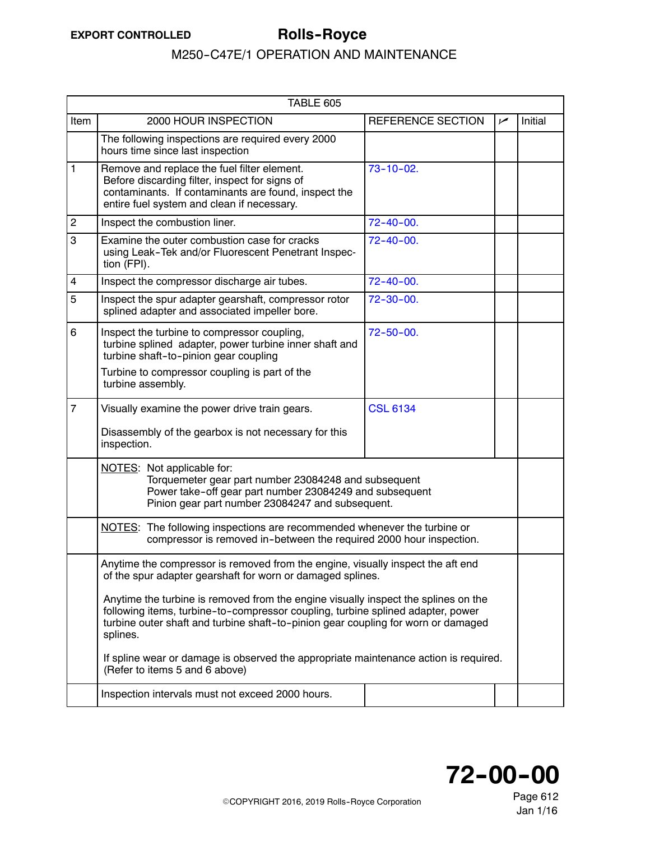<span id="page-5-0"></span>

| TABLE 605      |                                                                                                                                                                                                                                                                        |                   |     |         |  |
|----------------|------------------------------------------------------------------------------------------------------------------------------------------------------------------------------------------------------------------------------------------------------------------------|-------------------|-----|---------|--|
| Item           | 2000 HOUR INSPECTION                                                                                                                                                                                                                                                   | REFERENCE SECTION | مما | Initial |  |
|                | The following inspections are required every 2000<br>hours time since last inspection                                                                                                                                                                                  |                   |     |         |  |
| 1              | Remove and replace the fuel filter element.<br>Before discarding filter, inspect for signs of<br>contaminants. If contaminants are found, inspect the<br>entire fuel system and clean if necessary.                                                                    | $73 - 10 - 02$ .  |     |         |  |
| $\overline{c}$ | Inspect the combustion liner.                                                                                                                                                                                                                                          | $72 - 40 - 00$ .  |     |         |  |
| 3              | Examine the outer combustion case for cracks<br>using Leak-Tek and/or Fluorescent Penetrant Inspec-<br>tion (FPI).                                                                                                                                                     | $72 - 40 - 00$ .  |     |         |  |
| 4              | Inspect the compressor discharge air tubes.                                                                                                                                                                                                                            | $72 - 40 - 00$ .  |     |         |  |
| 5              | Inspect the spur adapter gearshaft, compressor rotor<br>splined adapter and associated impeller bore.                                                                                                                                                                  | $72 - 30 - 00.$   |     |         |  |
| 6              | Inspect the turbine to compressor coupling,<br>turbine splined adapter, power turbine inner shaft and<br>turbine shaft-to-pinion gear coupling                                                                                                                         | $72 - 50 - 00.$   |     |         |  |
|                | Turbine to compressor coupling is part of the<br>turbine assembly.                                                                                                                                                                                                     |                   |     |         |  |
| $\overline{7}$ | Visually examine the power drive train gears.                                                                                                                                                                                                                          | <b>CSL 6134</b>   |     |         |  |
|                | Disassembly of the gearbox is not necessary for this<br>inspection.                                                                                                                                                                                                    |                   |     |         |  |
|                | NOTES: Not applicable for:<br>Torquemeter gear part number 23084248 and subsequent<br>Power take-off gear part number 23084249 and subsequent<br>Pinion gear part number 23084247 and subsequent.                                                                      |                   |     |         |  |
|                | NOTES: The following inspections are recommended whenever the turbine or<br>compressor is removed in-between the required 2000 hour inspection.                                                                                                                        |                   |     |         |  |
|                | Anytime the compressor is removed from the engine, visually inspect the aft end<br>of the spur adapter gearshaft for worn or damaged splines.                                                                                                                          |                   |     |         |  |
|                | Anytime the turbine is removed from the engine visually inspect the splines on the<br>following items, turbine-to-compressor coupling, turbine splined adapter, power<br>turbine outer shaft and turbine shaft-to-pinion gear coupling for worn or damaged<br>splines. |                   |     |         |  |
|                | If spline wear or damage is observed the appropriate maintenance action is required.<br>(Refer to items 5 and 6 above)                                                                                                                                                 |                   |     |         |  |
|                | Inspection intervals must not exceed 2000 hours.                                                                                                                                                                                                                       |                   |     |         |  |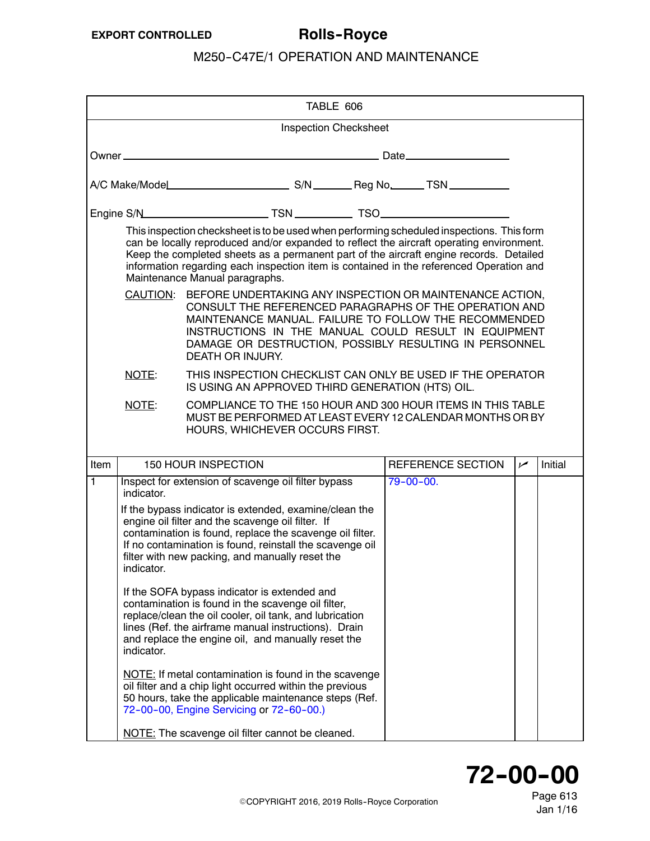<span id="page-6-0"></span>

|      |                                                                                                                                                                                                                                                                                                                                   | TABLE 606                                                                                                                                                                                                                                                                                                                                                                                                    |  |                   |            |         |
|------|-----------------------------------------------------------------------------------------------------------------------------------------------------------------------------------------------------------------------------------------------------------------------------------------------------------------------------------|--------------------------------------------------------------------------------------------------------------------------------------------------------------------------------------------------------------------------------------------------------------------------------------------------------------------------------------------------------------------------------------------------------------|--|-------------------|------------|---------|
|      |                                                                                                                                                                                                                                                                                                                                   | <b>Inspection Checksheet</b>                                                                                                                                                                                                                                                                                                                                                                                 |  |                   |            |         |
|      |                                                                                                                                                                                                                                                                                                                                   |                                                                                                                                                                                                                                                                                                                                                                                                              |  |                   |            |         |
|      |                                                                                                                                                                                                                                                                                                                                   |                                                                                                                                                                                                                                                                                                                                                                                                              |  |                   |            |         |
|      |                                                                                                                                                                                                                                                                                                                                   |                                                                                                                                                                                                                                                                                                                                                                                                              |  |                   |            |         |
|      |                                                                                                                                                                                                                                                                                                                                   | This inspection checksheet is to be used when performing scheduled inspections. This form<br>can be locally reproduced and/or expanded to reflect the aircraft operating environment.<br>Keep the completed sheets as a permanent part of the aircraft engine records. Detailed<br>information regarding each inspection item is contained in the referenced Operation and<br>Maintenance Manual paragraphs. |  |                   |            |         |
|      | CAUTION: BEFORE UNDERTAKING ANY INSPECTION OR MAINTENANCE ACTION,<br>CONSULT THE REFERENCED PARAGRAPHS OF THE OPERATION AND<br>MAINTENANCE MANUAL. FAILURE TO FOLLOW THE RECOMMENDED<br>INSTRUCTIONS IN THE MANUAL COULD RESULT IN EQUIPMENT<br>DAMAGE OR DESTRUCTION, POSSIBLY RESULTING IN PERSONNEL<br><b>DEATH OR INJURY.</b> |                                                                                                                                                                                                                                                                                                                                                                                                              |  |                   |            |         |
|      | NOTE:                                                                                                                                                                                                                                                                                                                             | THIS INSPECTION CHECKLIST CAN ONLY BE USED IF THE OPERATOR<br>IS USING AN APPROVED THIRD GENERATION (HTS) OIL.                                                                                                                                                                                                                                                                                               |  |                   |            |         |
|      | NOTE:                                                                                                                                                                                                                                                                                                                             | COMPLIANCE TO THE 150 HOUR AND 300 HOUR ITEMS IN THIS TABLE<br>MUST BE PERFORMED AT LEAST EVERY 12 CALENDAR MONTHS OR BY<br>HOURS, WHICHEVER OCCURS FIRST.                                                                                                                                                                                                                                                   |  |                   |            |         |
| Item |                                                                                                                                                                                                                                                                                                                                   | <b>150 HOUR INSPECTION</b>                                                                                                                                                                                                                                                                                                                                                                                   |  | REFERENCE SECTION | $\sqrt{ }$ | Initial |
| 1    | indicator.                                                                                                                                                                                                                                                                                                                        | Inspect for extension of scavenge oil filter bypass                                                                                                                                                                                                                                                                                                                                                          |  | $79 - 00 - 00.$   |            |         |
|      | If the bypass indicator is extended, examine/clean the<br>engine oil filter and the scavenge oil filter. If<br>contamination is found, replace the scavenge oil filter.<br>If no contamination is found, reinstall the scavenge oil<br>filter with new packing, and manually reset the<br>indicator.                              |                                                                                                                                                                                                                                                                                                                                                                                                              |  |                   |            |         |
|      | If the SOFA bypass indicator is extended and<br>contamination is found in the scavenge oil filter,<br>replace/clean the oil cooler, oil tank, and lubrication<br>lines (Ref. the airframe manual instructions). Drain<br>and replace the engine oil, and manually reset the<br>indicator.                                         |                                                                                                                                                                                                                                                                                                                                                                                                              |  |                   |            |         |
|      |                                                                                                                                                                                                                                                                                                                                   | NOTE: If metal contamination is found in the scavenge                                                                                                                                                                                                                                                                                                                                                        |  |                   |            |         |
|      |                                                                                                                                                                                                                                                                                                                                   | oil filter and a chip light occurred within the previous<br>50 hours, take the applicable maintenance steps (Ref.<br>72-00-00, Engine Servicing or 72-60-00.)                                                                                                                                                                                                                                                |  |                   |            |         |



Page 613 Jan 1/16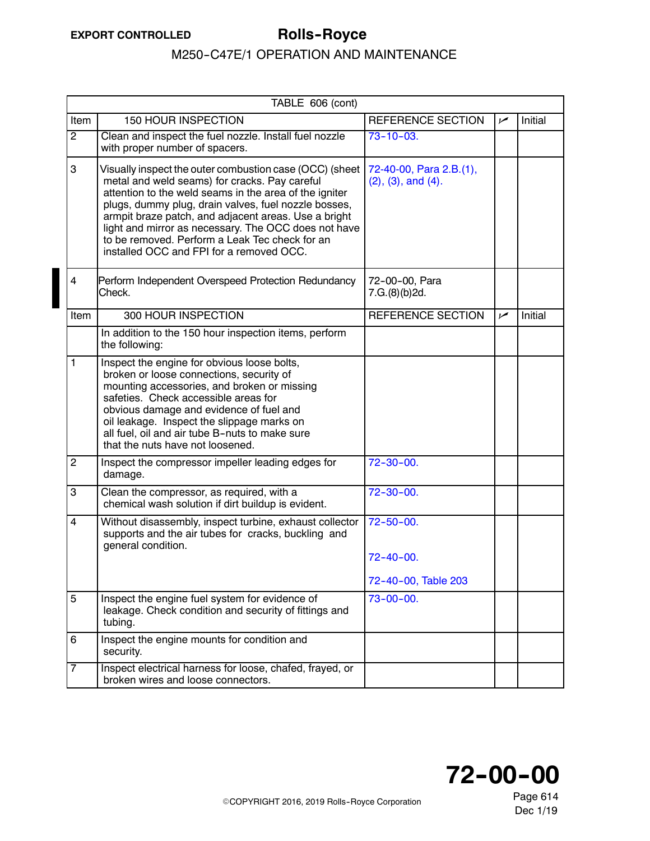|                         | TABLE 606 (cont)                                                                                                                                                                                                                                                                                                                                                                                                                         |                                                            |     |         |  |  |
|-------------------------|------------------------------------------------------------------------------------------------------------------------------------------------------------------------------------------------------------------------------------------------------------------------------------------------------------------------------------------------------------------------------------------------------------------------------------------|------------------------------------------------------------|-----|---------|--|--|
| Item                    | 150 HOUR INSPECTION                                                                                                                                                                                                                                                                                                                                                                                                                      | <b>REFERENCE SECTION</b>                                   | سما | Initial |  |  |
| $\overline{2}$          | Clean and inspect the fuel nozzle. Install fuel nozzle<br>with proper number of spacers.                                                                                                                                                                                                                                                                                                                                                 | $73 - 10 - 03$ .                                           |     |         |  |  |
| 3                       | Visually inspect the outer combustion case (OCC) (sheet<br>metal and weld seams) for cracks. Pay careful<br>attention to the weld seams in the area of the igniter<br>plugs, dummy plug, drain valves, fuel nozzle bosses,<br>armpit braze patch, and adjacent areas. Use a bright<br>light and mirror as necessary. The OCC does not have<br>to be removed. Perform a Leak Tec check for an<br>installed OCC and FPI for a removed OCC. | 72-40-00, Para 2.B.(1),<br>$(2)$ , $(3)$ , and $(4)$ .     |     |         |  |  |
| 4                       | Perform Independent Overspeed Protection Redundancy<br>Check.                                                                                                                                                                                                                                                                                                                                                                            | 72-00-00, Para<br>7.G.(8)(b)2d.                            |     |         |  |  |
| Item                    | 300 HOUR INSPECTION                                                                                                                                                                                                                                                                                                                                                                                                                      | REFERENCE SECTION                                          | سما | Initial |  |  |
|                         | In addition to the 150 hour inspection items, perform<br>the following:                                                                                                                                                                                                                                                                                                                                                                  |                                                            |     |         |  |  |
| 1                       | Inspect the engine for obvious loose bolts,<br>broken or loose connections, security of<br>mounting accessories, and broken or missing<br>safeties. Check accessible areas for<br>obvious damage and evidence of fuel and<br>oil leakage. Inspect the slippage marks on<br>all fuel, oil and air tube B-nuts to make sure<br>that the nuts have not loosened.                                                                            |                                                            |     |         |  |  |
| $\overline{c}$          | Inspect the compressor impeller leading edges for<br>damage.                                                                                                                                                                                                                                                                                                                                                                             | $72 - 30 - 00.$                                            |     |         |  |  |
| 3                       | Clean the compressor, as required, with a<br>chemical wash solution if dirt buildup is evident.                                                                                                                                                                                                                                                                                                                                          | $72 - 30 - 00.$                                            |     |         |  |  |
| $\overline{\mathbf{4}}$ | Without disassembly, inspect turbine, exhaust collector<br>supports and the air tubes for cracks, buckling and<br>general condition.                                                                                                                                                                                                                                                                                                     | $72 - 50 - 00.$<br>$72 - 40 - 00$ .<br>72-40-00, Table 203 |     |         |  |  |
| 5                       | Inspect the engine fuel system for evidence of<br>leakage. Check condition and security of fittings and<br>tubing.                                                                                                                                                                                                                                                                                                                       | $73 - 00 - 00.$                                            |     |         |  |  |
| 6                       | Inspect the engine mounts for condition and<br>security.                                                                                                                                                                                                                                                                                                                                                                                 |                                                            |     |         |  |  |
| 7                       | Inspect electrical harness for loose, chafed, frayed, or<br>broken wires and loose connectors.                                                                                                                                                                                                                                                                                                                                           |                                                            |     |         |  |  |

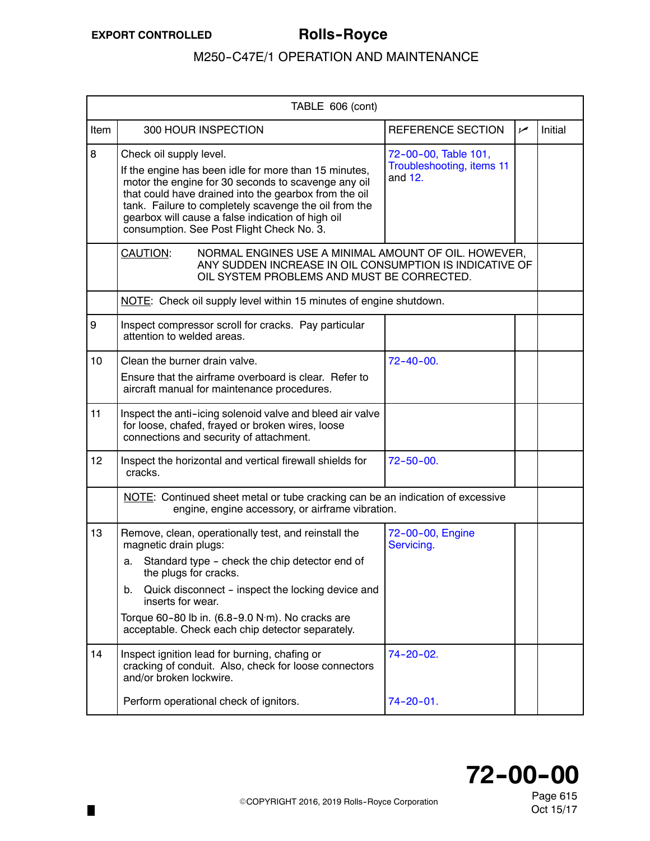п

|                 | TABLE 606 (cont)                                                                                                                                                                                                                                                                                                                                            |                                                                |      |                |
|-----------------|-------------------------------------------------------------------------------------------------------------------------------------------------------------------------------------------------------------------------------------------------------------------------------------------------------------------------------------------------------------|----------------------------------------------------------------|------|----------------|
| Item            | 300 HOUR INSPECTION                                                                                                                                                                                                                                                                                                                                         | <b>REFERENCE SECTION</b>                                       | ممرا | <b>Initial</b> |
| 8               | Check oil supply level.<br>If the engine has been idle for more than 15 minutes,<br>motor the engine for 30 seconds to scavenge any oil<br>that could have drained into the gearbox from the oil<br>tank. Failure to completely scavenge the oil from the<br>gearbox will cause a false indication of high oil<br>consumption. See Post Flight Check No. 3. | 72-00-00, Table 101,<br>Troubleshooting, items 11<br>and $12.$ |      |                |
|                 | <b>CAUTION:</b><br>NORMAL ENGINES USE A MINIMAL AMOUNT OF OIL. HOWEVER,<br>ANY SUDDEN INCREASE IN OIL CONSUMPTION IS INDICATIVE OF<br>OIL SYSTEM PROBLEMS AND MUST BE CORRECTED.                                                                                                                                                                            |                                                                |      |                |
|                 | NOTE: Check oil supply level within 15 minutes of engine shutdown.                                                                                                                                                                                                                                                                                          |                                                                |      |                |
| 9               | Inspect compressor scroll for cracks. Pay particular<br>attention to welded areas.                                                                                                                                                                                                                                                                          |                                                                |      |                |
| 10              | Clean the burner drain valve.<br>Ensure that the airframe overboard is clear. Refer to<br>aircraft manual for maintenance procedures.                                                                                                                                                                                                                       | $72 - 40 - 00.$                                                |      |                |
| 11              | Inspect the anti-icing solenoid valve and bleed air valve<br>for loose, chafed, frayed or broken wires, loose<br>connections and security of attachment.                                                                                                                                                                                                    |                                                                |      |                |
| 12 <sup>2</sup> | Inspect the horizontal and vertical firewall shields for<br>cracks.                                                                                                                                                                                                                                                                                         | $72 - 50 - 00.$                                                |      |                |
|                 | NOTE: Continued sheet metal or tube cracking can be an indication of excessive<br>engine, engine accessory, or airframe vibration.                                                                                                                                                                                                                          |                                                                |      |                |
| 13              | Remove, clean, operationally test, and reinstall the<br>magnetic drain plugs:<br>Standard type - check the chip detector end of<br>а. –<br>the plugs for cracks.<br>Quick disconnect - inspect the locking device and<br>b.<br>inserts for wear.<br>Torque 60-80 lb in. (6.8-9.0 N·m). No cracks are<br>acceptable. Check each chip detector separately.    | 72-00-00, Engine<br>Servicing.                                 |      |                |
| 14              | Inspect ignition lead for burning, chafing or<br>cracking of conduit. Also, check for loose connectors<br>and/or broken lockwire.                                                                                                                                                                                                                           | 74-20-02.                                                      |      |                |
|                 | Perform operational check of ignitors.                                                                                                                                                                                                                                                                                                                      | $74 - 20 - 01$ .                                               |      |                |

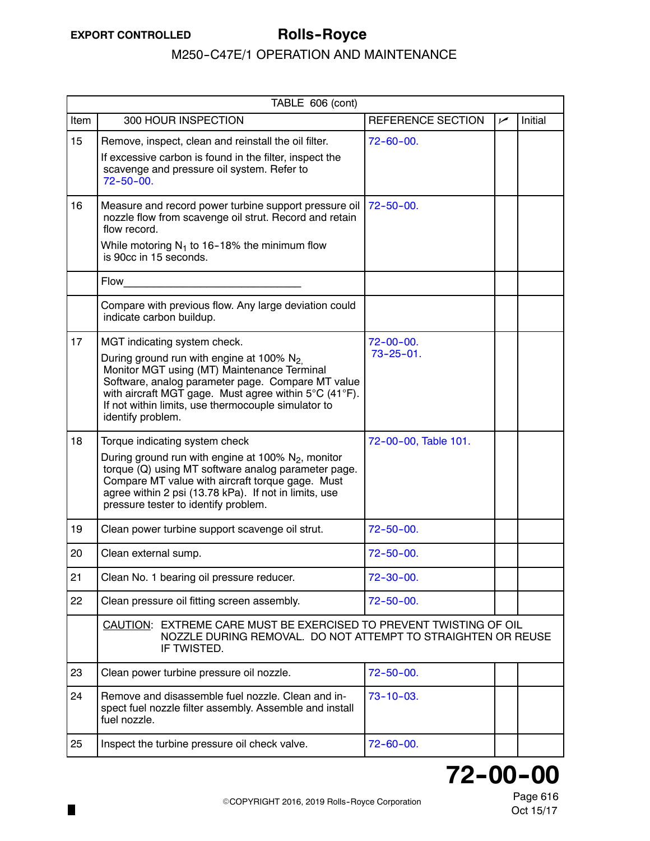Ш

# M250-C47E/1 OPERATION AND MAINTENANCE

|      | TABLE 606 (cont)                                                                                                                                                                                                                                                                                                               |                                     |      |         |  |  |  |
|------|--------------------------------------------------------------------------------------------------------------------------------------------------------------------------------------------------------------------------------------------------------------------------------------------------------------------------------|-------------------------------------|------|---------|--|--|--|
| Item | 300 HOUR INSPECTION                                                                                                                                                                                                                                                                                                            | <b>REFERENCE SECTION</b>            | ممرا | Initial |  |  |  |
| 15   | Remove, inspect, clean and reinstall the oil filter.<br>If excessive carbon is found in the filter, inspect the<br>scavenge and pressure oil system. Refer to<br>$72 - 50 - 00.$                                                                                                                                               | $72 - 60 - 00$ .                    |      |         |  |  |  |
| 16   | Measure and record power turbine support pressure oil<br>nozzle flow from scavenge oil strut. Record and retain<br>flow record.<br>While motoring $N_1$ to 16-18% the minimum flow<br>is 90cc in 15 seconds.                                                                                                                   | $72 - 50 - 00.$                     |      |         |  |  |  |
|      | Flow                                                                                                                                                                                                                                                                                                                           |                                     |      |         |  |  |  |
|      | Compare with previous flow. Any large deviation could<br>indicate carbon buildup.                                                                                                                                                                                                                                              |                                     |      |         |  |  |  |
| 17   | MGT indicating system check.<br>During ground run with engine at 100% N <sub>2.</sub><br>Monitor MGT using (MT) Maintenance Terminal<br>Software, analog parameter page. Compare MT value<br>with aircraft MGT gage. Must agree within 5°C (41°F).<br>If not within limits, use thermocouple simulator to<br>identify problem. | $72 - 00 - 00.$<br>$73 - 25 - 01$ . |      |         |  |  |  |
| 18   | Torque indicating system check<br>During ground run with engine at 100% $N_2$ , monitor<br>torque (Q) using MT software analog parameter page.<br>Compare MT value with aircraft torque gage. Must<br>agree within 2 psi (13.78 kPa). If not in limits, use<br>pressure tester to identify problem.                            | 72-00-00, Table 101.                |      |         |  |  |  |
| 19   | Clean power turbine support scavenge oil strut.                                                                                                                                                                                                                                                                                | $72 - 50 - 00.$                     |      |         |  |  |  |
| 20   | Clean external sump.                                                                                                                                                                                                                                                                                                           | $72 - 50 - 00$ .                    |      |         |  |  |  |
| 21   | Clean No. 1 bearing oil pressure reducer.                                                                                                                                                                                                                                                                                      | $72 - 30 - 00$ .                    |      |         |  |  |  |
| 22   | Clean pressure oil fitting screen assembly.                                                                                                                                                                                                                                                                                    | $72 - 50 - 00.$                     |      |         |  |  |  |
|      | CAUTION: EXTREME CARE MUST BE EXERCISED TO PREVENT TWISTING OF OIL<br>NOZZLE DURING REMOVAL. DO NOT ATTEMPT TO STRAIGHTEN OR REUSE<br>IF TWISTED.                                                                                                                                                                              |                                     |      |         |  |  |  |
| 23   | Clean power turbine pressure oil nozzle.                                                                                                                                                                                                                                                                                       | $72 - 50 - 00.$                     |      |         |  |  |  |
| 24   | Remove and disassemble fuel nozzle. Clean and in-<br>spect fuel nozzle filter assembly. Assemble and install<br>fuel nozzle.                                                                                                                                                                                                   | $73 - 10 - 03$ .                    |      |         |  |  |  |
| 25   | Inspect the turbine pressure oil check valve.                                                                                                                                                                                                                                                                                  | $72 - 60 - 00.$                     |      |         |  |  |  |

# **72--00--00**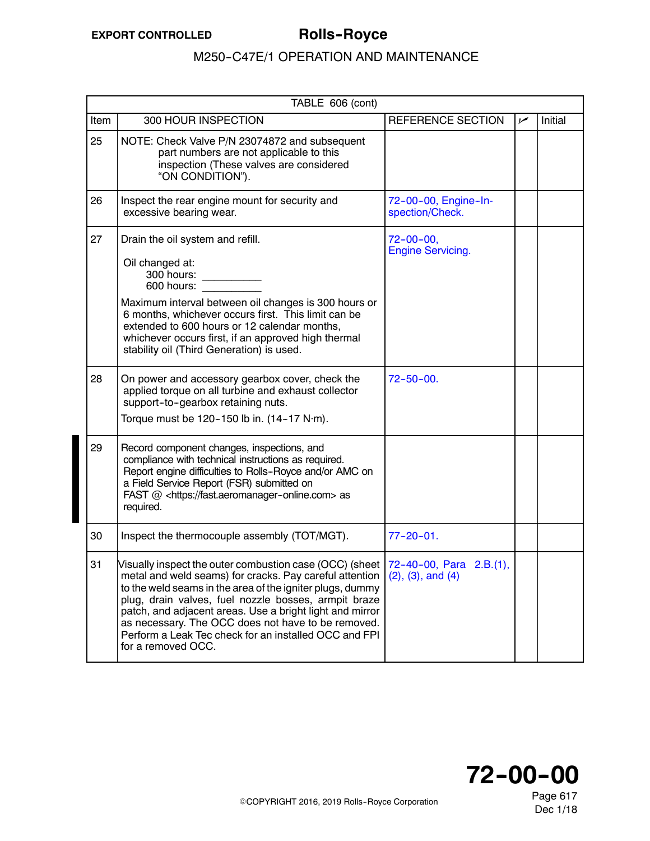|      | TABLE 606 (cont)                                                                                                                                                                                                                                                                                                                                                                                                                                                    |                                              |     |         |  |  |
|------|---------------------------------------------------------------------------------------------------------------------------------------------------------------------------------------------------------------------------------------------------------------------------------------------------------------------------------------------------------------------------------------------------------------------------------------------------------------------|----------------------------------------------|-----|---------|--|--|
| Item | 300 HOUR INSPECTION                                                                                                                                                                                                                                                                                                                                                                                                                                                 | REFERENCE SECTION                            | سما | Initial |  |  |
| 25   | NOTE: Check Valve P/N 23074872 and subsequent<br>part numbers are not applicable to this<br>inspection (These valves are considered<br>"ON CONDITION").                                                                                                                                                                                                                                                                                                             |                                              |     |         |  |  |
| 26   | Inspect the rear engine mount for security and<br>excessive bearing wear.                                                                                                                                                                                                                                                                                                                                                                                           | 72-00-00, Engine-In-<br>spection/Check.      |     |         |  |  |
| 27   | Drain the oil system and refill.<br>Oil changed at:<br>300 hours:<br>600 hours:<br>Maximum interval between oil changes is 300 hours or<br>6 months, whichever occurs first. This limit can be<br>extended to 600 hours or 12 calendar months,<br>whichever occurs first, if an approved high thermal<br>stability oil (Third Generation) is used.                                                                                                                  | $72 - 00 - 00$ ,<br><b>Engine Servicing.</b> |     |         |  |  |
| 28   | On power and accessory gearbox cover, check the<br>applied torque on all turbine and exhaust collector<br>support-to-gearbox retaining nuts.<br>Torque must be 120-150 lb in. $(14-17 \text{ N}\cdot\text{m})$ .                                                                                                                                                                                                                                                    | $72 - 50 - 00$ .                             |     |         |  |  |
| 29   | Record component changes, inspections, and<br>compliance with technical instructions as required.<br>Report engine difficulties to Rolls-Royce and/or AMC on<br>a Field Service Report (FSR) submitted on<br>FAST @ <https: fast.aeromanager-online.com=""> as<br/>required.</https:>                                                                                                                                                                               |                                              |     |         |  |  |
| 30   | Inspect the thermocouple assembly (TOT/MGT).                                                                                                                                                                                                                                                                                                                                                                                                                        | $77 - 20 - 01$ .                             |     |         |  |  |
| 31   | Visually inspect the outer combustion case (OCC) (sheet $72-40-00$ , Para 2.B.(1),<br>metal and weld seams) for cracks. Pay careful attention<br>to the weld seams in the area of the igniter plugs, dummy<br>plug, drain valves, fuel nozzle bosses, armpit braze<br>patch, and adjacent areas. Use a bright light and mirror<br>as necessary. The OCC does not have to be removed.<br>Perform a Leak Tec check for an installed OCC and FPI<br>for a removed OCC. | $(2)$ , $(3)$ , and $(4)$                    |     |         |  |  |



Page 617 Dec 1/18